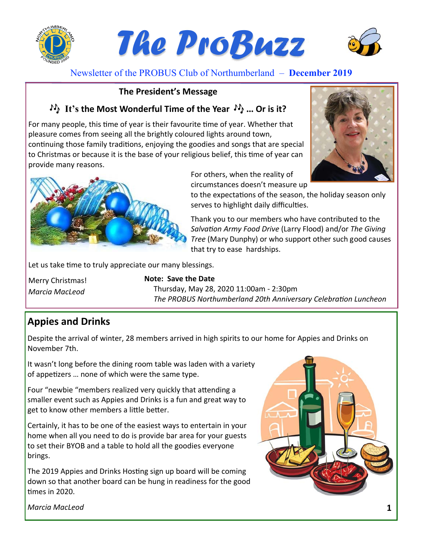

Newsletter of the PROBUS Club of Northumberland – **December 2019**

#### **The President's Message**

# **It's the Most Wonderful Time of the Year ... Or is it?**

For many people, this time of year is their favourite time of year. Whether that pleasure comes from seeing all the brightly coloured lights around town, continuing those family traditions, enjoying the goodies and songs that are special to Christmas or because it is the base of your religious belief, this time of year can provide many reasons.





For others, when the reality of

circumstances doesn't measure up

to the expectations of the season, the holiday season only serves to highlight daily difficulties.

Thank you to our members who have contributed to the *SalvaƟon Army Food Drive* (Larry Flood) and/or *The Giving Tree* (Mary Dunphy) or who support other such good causes that try to ease hardships.

Let us take time to truly appreciate our many blessings.

Merry Christmas! *Marcia MacLeod* 

#### **Note: Save the Date**

Thursday, May 28, 2020 11:00am ‐ 2:30pm **The PROBUS Northumberland 20th Anniversary Celebration Luncheon** 

# **Appies and Drinks**

Despite the arrival of winter, 28 members arrived in high spirits to our home for Appies and Drinks on November 7th.

It wasn't long before the dining room table was laden with a variety of appetizers ... none of which were the same type.

Four "newbie "members realized very quickly that attending a smaller event such as Appies and Drinks is a fun and great way to get to know other members a little better.

Certainly, it has to be one of the easiest ways to entertain in your home when all you need to do is provide bar area for your guests to set their BYOB and a table to hold all the goodies everyone brings.

The 2019 Appies and Drinks Hosting sign up board will be coming down so that another board can be hung in readiness for the good times in 2020.



*Marcia MacLeod*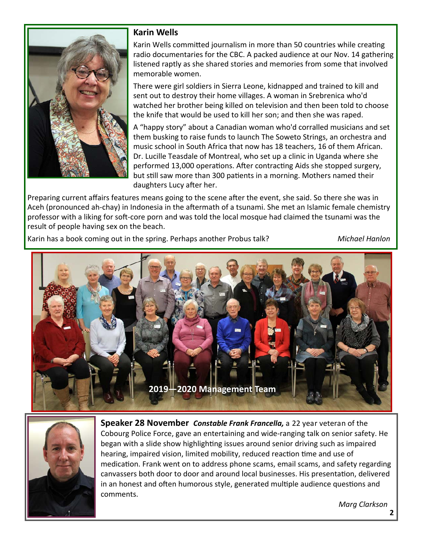

#### **Karin Wells**

Karin Wells committed journalism in more than 50 countries while creating radio documentaries for the CBC. A packed audience at our Nov. 14 gathering listened raptly as she shared stories and memories from some that involved memorable women.

There were girl soldiers in Sierra Leone, kidnapped and trained to kill and sent out to destroy their home villages. A woman in Srebrenica who'd watched her brother being killed on television and then been told to choose the knife that would be used to kill her son; and then she was raped.

A "happy story" about a Canadian woman who'd corralled musicians and set them busking to raise funds to launch The Soweto Strings, an orchestra and music school in South Africa that now has 18 teachers, 16 of them African. Dr. Lucille Teasdale of Montreal, who set up a clinic in Uganda where she performed 13,000 operations. After contracting Aids she stopped surgery, but still saw more than 300 patients in a morning. Mothers named their daughters Lucy after her.

Preparing current affairs features means going to the scene after the event, she said. So there she was in Aceh (pronounced ah-chay) in Indonesia in the aftermath of a tsunami. She met an Islamic female chemistry professor with a liking for soft-core porn and was told the local mosque had claimed the tsunami was the result of people having sex on the beach.

Karin has a book coming out in the spring. Perhaps another Probus talk? *Michael Hanlon*





**Speaker 28 November Constable Frank Francella, a 22 year veteran of the** Cobourg Police Force, gave an entertaining and wide‐ranging talk on senior safety. He began with a slide show highlighting issues around senior driving such as impaired hearing, impaired vision, limited mobility, reduced reaction time and use of medication. Frank went on to address phone scams, email scams, and safety regarding canvassers both door to door and around local businesses. His presentation, delivered in an honest and often humorous style, generated multiple audience questions and comments.

*Marg Clarkson*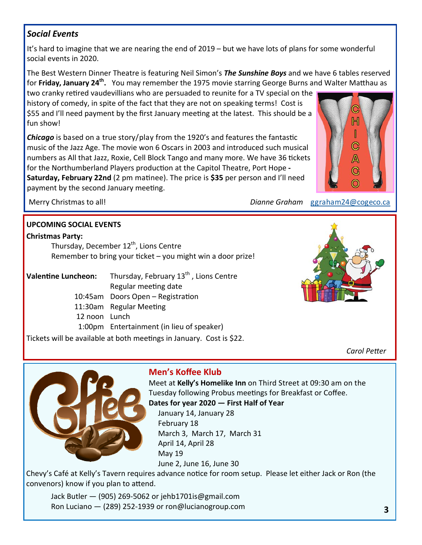## *Social Events*

It's hard to imagine that we are nearing the end of 2019 – but we have lots of plans for some wonderful social events in 2020.

The Best Western Dinner Theatre is featuring Neil Simon's *The Sunshine Boys* and we have 6 tables reserved for Friday, January 24<sup>th</sup>. You may remember the 1975 movie starring George Burns and Walter Matthau as

two cranky retired vaudevillians who are persuaded to reunite for a TV special on the history of comedy, in spite of the fact that they are not on speaking terms! Cost is \$55 and I'll need payment by the first January meeting at the latest. This should be a fun show!

*Chicago* is based on a true story/play from the 1920's and features the fantastic music of the Jazz Age. The movie won 6 Oscars in 2003 and introduced such musical numbers as All that Jazz, Roxie, Cell Block Tango and many more. We have 36 tickets for the Northumberland Players production at the Capitol Theatre, Port Hope -**Saturday, February 22nd** (2 pm matinee). The price is \$35 per person and I'll need payment by the second January meeting.



Merry Christmas to all! *Dianne Graham* ggraham24@cogeco.ca

#### **UPCOMING SOCIAL EVENTS**

#### **Christmas Party:**

Thursday, December 12<sup>th</sup>, Lions Centre Remember to bring your ticket – you might win a door prize!

**Valentine Luncheon:** Thursday, February 13<sup>th</sup>, Lions Centre Regular meeƟng date

10:45am Doors Open - Registration

11:30am Regular Meeting

12 noon Lunch

1:00pm Entertainment (in lieu of speaker)

Tickets will be available at both meetings in January. Cost is \$22.



*Carol PeƩer* 



# **Men's Koffee Klub**

Meet at **Kelly's Homelike Inn** on Third Street at 09:30 am on the Tuesday following Probus meetings for Breakfast or Coffee.

**Dates for year 2020 — First Half of Year**

 January 14, January 28 February 18 March 3, March 17, March 31 April 14, April 28 May 19 June 2, June 16, June 30

Chevy's Café at Kelly's Tavern requires advance notice for room setup. Please let either Jack or Ron (the convenors) know if you plan to attend.

 Jack Butler — (905) 269‐5062 or jehb1701is@gmail.com Ron Luciano — (289) 252‐1939 or ron@lucianogroup.com **3**